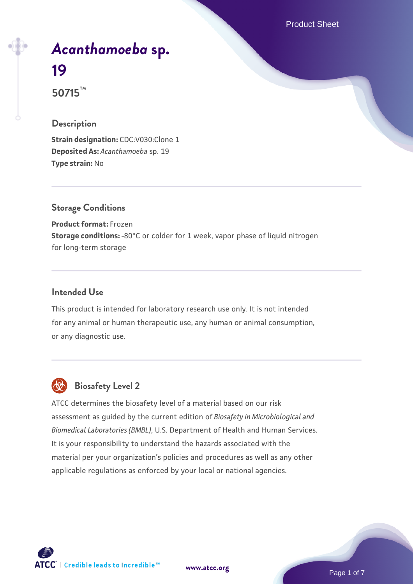Product Sheet

# *[Acanthamoeba](https://www.atcc.org/products/50715)* **[sp.](https://www.atcc.org/products/50715) [19](https://www.atcc.org/products/50715) 50715™**

## **Description**

**Strain designation: CDC:V030:Clone 1 Deposited As:** *Acanthamoeba* sp. 19 **Type strain:** No

## **Storage Conditions**

**Product format:** Frozen **Storage conditions:** -80°C or colder for 1 week, vapor phase of liquid nitrogen for long-term storage

#### **Intended Use**

This product is intended for laboratory research use only. It is not intended for any animal or human therapeutic use, any human or animal consumption, or any diagnostic use.



# **Biosafety Level 2**

ATCC determines the biosafety level of a material based on our risk assessment as guided by the current edition of *Biosafety in Microbiological and Biomedical Laboratories (BMBL)*, U.S. Department of Health and Human Services. It is your responsibility to understand the hazards associated with the material per your organization's policies and procedures as well as any other applicable regulations as enforced by your local or national agencies.

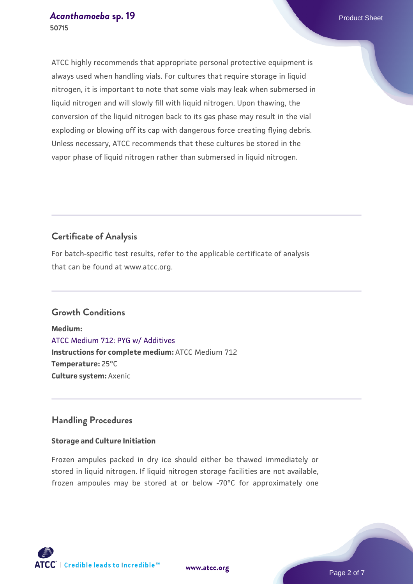#### *[Acanthamoeba](https://www.atcc.org/products/50715)* **[sp. 19](https://www.atcc.org/products/50715)** Product Sheet **50715**

ATCC highly recommends that appropriate personal protective equipment is always used when handling vials. For cultures that require storage in liquid nitrogen, it is important to note that some vials may leak when submersed in liquid nitrogen and will slowly fill with liquid nitrogen. Upon thawing, the conversion of the liquid nitrogen back to its gas phase may result in the vial exploding or blowing off its cap with dangerous force creating flying debris. Unless necessary, ATCC recommends that these cultures be stored in the vapor phase of liquid nitrogen rather than submersed in liquid nitrogen.

## **Certificate of Analysis**

For batch-specific test results, refer to the applicable certificate of analysis that can be found at www.atcc.org.

## **Growth Conditions**

**Medium:**  [ATCC Medium 712: PYG w/ Additives](https://www.atcc.org/-/media/product-assets/documents/microbial-media-formulations/7/1/2/atcc-medium-712.pdf?rev=7a3975f3ced8477999762ca76164fb74) **Instructions for complete medium:** ATCC Medium 712 **Temperature:** 25°C **Culture system:** Axenic

## **Handling Procedures**

## **Storage and Culture Initiation**

Frozen ampules packed in dry ice should either be thawed immediately or stored in liquid nitrogen. If liquid nitrogen storage facilities are not available, frozen ampoules may be stored at or below -70°C for approximately one



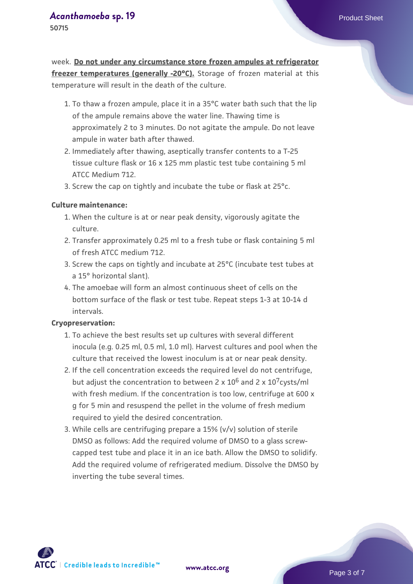## *[Acanthamoeba](https://www.atcc.org/products/50715)* **[sp. 19](https://www.atcc.org/products/50715)** Product Sheet

**50715**

week. **Do not under any circumstance store frozen ampules at refrigerator freezer temperatures (generally -20°C).** Storage of frozen material at this temperature will result in the death of the culture.

- 1. To thaw a frozen ampule, place it in a 35°C water bath such that the lip  $\;$ of the ampule remains above the water line. Thawing time is approximately 2 to 3 minutes. Do not agitate the ampule. Do not leave ampule in water bath after thawed.
- 2. Immediately after thawing, aseptically transfer contents to a T-25 tissue culture flask or 16 x 125 mm plastic test tube containing 5 ml ATCC Medium 712.
- 3. Screw the cap on tightly and incubate the tube or flask at 25°c.

#### **Culture maintenance:**

- When the culture is at or near peak density, vigorously agitate the 1. culture.
- 2. Transfer approximately 0.25 ml to a fresh tube or flask containing 5 ml of fresh ATCC medium 712.
- 3. Screw the caps on tightly and incubate at 25°C (incubate test tubes at a 15° horizontal slant).
- The amoebae will form an almost continuous sheet of cells on the 4. bottom surface of the flask or test tube. Repeat steps 1-3 at 10-14 d intervals.

#### **Cryopreservation:**

- 1. To achieve the best results set up cultures with several different inocula (e.g. 0.25 ml, 0.5 ml, 1.0 ml). Harvest cultures and pool when the culture that received the lowest inoculum is at or near peak density.
- 2. If the cell concentration exceeds the required level do not centrifuge, but adjust the concentration to between 2 x  $10^6$  and 2 x  $10^7$ cysts/ml with fresh medium. If the concentration is too low, centrifuge at 600 x g for 5 min and resuspend the pellet in the volume of fresh medium required to yield the desired concentration.
- While cells are centrifuging prepare a 15% (v/v) solution of sterile 3. DMSO as follows: Add the required volume of DMSO to a glass screwcapped test tube and place it in an ice bath. Allow the DMSO to solidify. Add the required volume of refrigerated medium. Dissolve the DMSO by inverting the tube several times.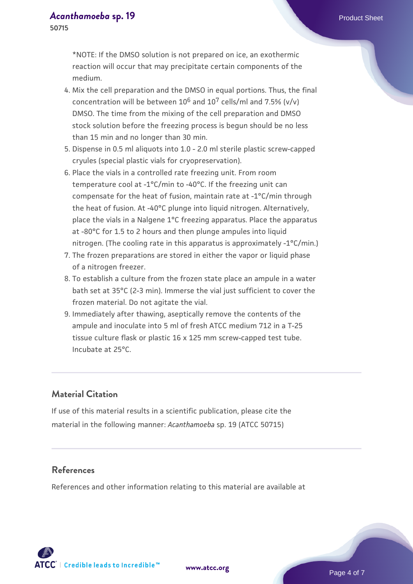**50715**

\*NOTE: If the DMSO solution is not prepared on ice, an exothermic reaction will occur that may precipitate certain components of the medium.

- 4. Mix the cell preparation and the DMSO in equal portions. Thus, the final concentration will be between  $10^6$  and  $10^7$  cells/ml and 7.5% (v/v) DMSO. The time from the mixing of the cell preparation and DMSO stock solution before the freezing process is begun should be no less than 15 min and no longer than 30 min.
- 5. Dispense in 0.5 ml aliquots into 1.0 2.0 ml sterile plastic screw-capped cryules (special plastic vials for cryopreservation).
- 6. Place the vials in a controlled rate freezing unit. From room temperature cool at -1°C/min to -40°C. If the freezing unit can compensate for the heat of fusion, maintain rate at -1°C/min through the heat of fusion. At -40°C plunge into liquid nitrogen. Alternatively, place the vials in a Nalgene 1°C freezing apparatus. Place the apparatus at -80°C for 1.5 to 2 hours and then plunge ampules into liquid nitrogen. (The cooling rate in this apparatus is approximately -1°C/min.)
- The frozen preparations are stored in either the vapor or liquid phase 7. of a nitrogen freezer.
- To establish a culture from the frozen state place an ampule in a water 8. bath set at 35°C (2-3 min). Immerse the vial just sufficient to cover the frozen material. Do not agitate the vial.
- 9. Immediately after thawing, aseptically remove the contents of the ampule and inoculate into 5 ml of fresh ATCC medium 712 in a T-25 tissue culture flask or plastic 16 x 125 mm screw-capped test tube. Incubate at 25°C.

## **Material Citation**

If use of this material results in a scientific publication, please cite the material in the following manner: *Acanthamoeba* sp. 19 (ATCC 50715)

## **References**

References and other information relating to this material are available at

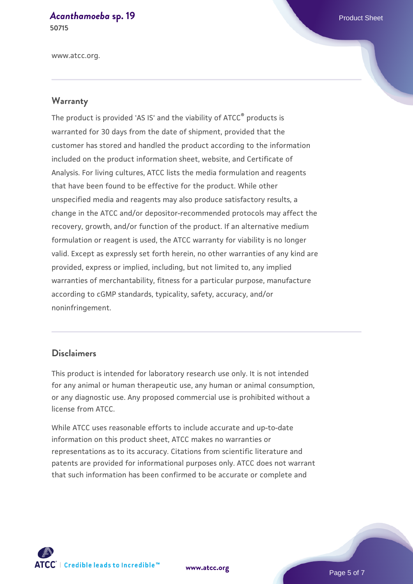# *[Acanthamoeba](https://www.atcc.org/products/50715)* **[sp. 19](https://www.atcc.org/products/50715)** Product Sheet

**50715**

www.atcc.org.

### **Warranty**

The product is provided 'AS IS' and the viability of ATCC® products is warranted for 30 days from the date of shipment, provided that the customer has stored and handled the product according to the information included on the product information sheet, website, and Certificate of Analysis. For living cultures, ATCC lists the media formulation and reagents that have been found to be effective for the product. While other unspecified media and reagents may also produce satisfactory results, a change in the ATCC and/or depositor-recommended protocols may affect the recovery, growth, and/or function of the product. If an alternative medium formulation or reagent is used, the ATCC warranty for viability is no longer valid. Except as expressly set forth herein, no other warranties of any kind are provided, express or implied, including, but not limited to, any implied warranties of merchantability, fitness for a particular purpose, manufacture according to cGMP standards, typicality, safety, accuracy, and/or noninfringement.

## **Disclaimers**

This product is intended for laboratory research use only. It is not intended for any animal or human therapeutic use, any human or animal consumption, or any diagnostic use. Any proposed commercial use is prohibited without a license from ATCC.

While ATCC uses reasonable efforts to include accurate and up-to-date information on this product sheet, ATCC makes no warranties or representations as to its accuracy. Citations from scientific literature and patents are provided for informational purposes only. ATCC does not warrant that such information has been confirmed to be accurate or complete and



**[www.atcc.org](http://www.atcc.org)**

Page 5 of 7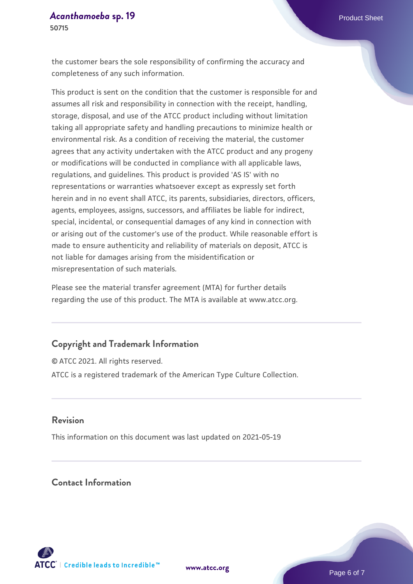the customer bears the sole responsibility of confirming the accuracy and completeness of any such information.

This product is sent on the condition that the customer is responsible for and assumes all risk and responsibility in connection with the receipt, handling, storage, disposal, and use of the ATCC product including without limitation taking all appropriate safety and handling precautions to minimize health or environmental risk. As a condition of receiving the material, the customer agrees that any activity undertaken with the ATCC product and any progeny or modifications will be conducted in compliance with all applicable laws, regulations, and guidelines. This product is provided 'AS IS' with no representations or warranties whatsoever except as expressly set forth herein and in no event shall ATCC, its parents, subsidiaries, directors, officers, agents, employees, assigns, successors, and affiliates be liable for indirect, special, incidental, or consequential damages of any kind in connection with or arising out of the customer's use of the product. While reasonable effort is made to ensure authenticity and reliability of materials on deposit, ATCC is not liable for damages arising from the misidentification or misrepresentation of such materials.

Please see the material transfer agreement (MTA) for further details regarding the use of this product. The MTA is available at www.atcc.org.

## **Copyright and Trademark Information**

© ATCC 2021. All rights reserved. ATCC is a registered trademark of the American Type Culture Collection.

#### **Revision**

This information on this document was last updated on 2021-05-19

## **Contact Information**



**[www.atcc.org](http://www.atcc.org)**